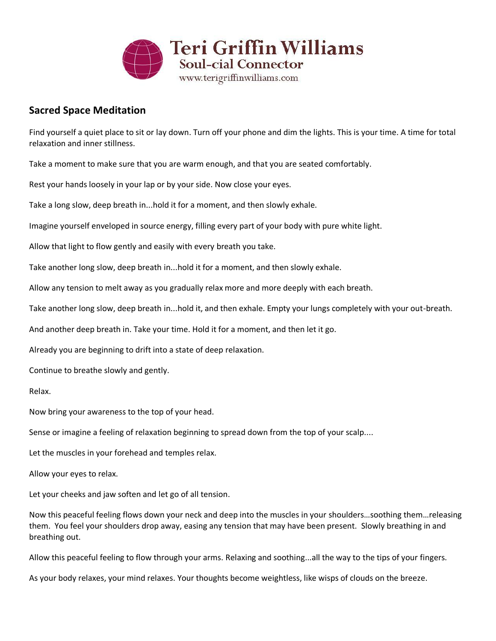

## **Sacred Space Meditation**

Find yourself a quiet place to sit or lay down. Turn off your phone and dim the lights. This is your time. A time for total relaxation and inner stillness.

Take a moment to make sure that you are warm enough, and that you are seated comfortably.

Rest your hands loosely in your lap or by your side. Now close your eyes.

Take a long slow, deep breath in...hold it for a moment, and then slowly exhale.

Imagine yourself enveloped in source energy, filling every part of your body with pure white light.

Allow that light to flow gently and easily with every breath you take.

Take another long slow, deep breath in...hold it for a moment, and then slowly exhale.

Allow any tension to melt away as you gradually relax more and more deeply with each breath.

Take another long slow, deep breath in...hold it, and then exhale. Empty your lungs completely with your out-breath.

And another deep breath in. Take your time. Hold it for a moment, and then let it go.

Already you are beginning to drift into a state of deep relaxation.

Continue to breathe slowly and gently.

Relax.

Now bring your awareness to the top of your head.

Sense or imagine a feeling of relaxation beginning to spread down from the top of your scalp....

Let the muscles in your forehead and temples relax.

Allow your eyes to relax.

Let your cheeks and jaw soften and let go of all tension.

Now this peaceful feeling flows down your neck and deep into the muscles in your shoulders…soothing them…releasing them. You feel your shoulders drop away, easing any tension that may have been present. Slowly breathing in and breathing out.

Allow this peaceful feeling to flow through your arms. Relaxing and soothing...all the way to the tips of your fingers.

As your body relaxes, your mind relaxes. Your thoughts become weightless, like wisps of clouds on the breeze.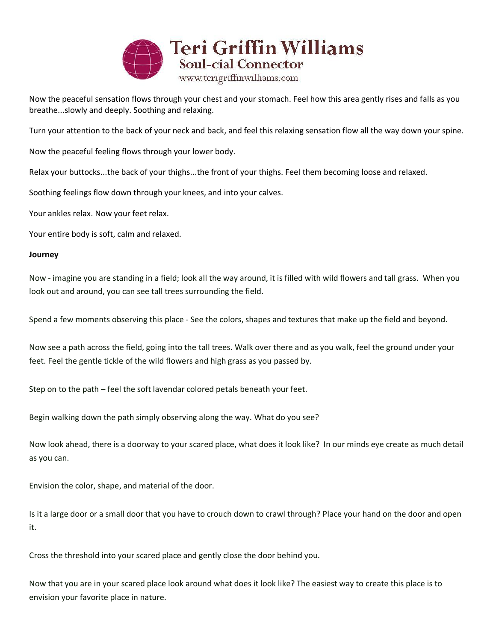

Now the peaceful sensation flows through your chest and your stomach. Feel how this area gently rises and falls as you breathe...slowly and deeply. Soothing and relaxing.

Turn your attention to the back of your neck and back, and feel this relaxing sensation flow all the way down your spine.

Now the peaceful feeling flows through your lower body.

Relax your buttocks...the back of your thighs...the front of your thighs. Feel them becoming loose and relaxed.

Soothing feelings flow down through your knees, and into your calves.

Your ankles relax. Now your feet relax.

Your entire body is soft, calm and relaxed.

## **Journey**

Now - imagine you are standing in a field; look all the way around, it is filled with wild flowers and tall grass. When you look out and around, you can see tall trees surrounding the field.

Spend a few moments observing this place - See the colors, shapes and textures that make up the field and beyond.

Now see a path across the field, going into the tall trees. Walk over there and as you walk, feel the ground under your feet. Feel the gentle tickle of the wild flowers and high grass as you passed by.

Step on to the path – feel the soft lavendar colored petals beneath your feet.

Begin walking down the path simply observing along the way. What do you see?

Now look ahead, there is a doorway to your scared place, what does it look like? In our minds eye create as much detail as you can.

Envision the color, shape, and material of the door.

Is it a large door or a small door that you have to crouch down to crawl through? Place your hand on the door and open it.

Cross the threshold into your scared place and gently close the door behind you.

Now that you are in your scared place look around what does it look like? The easiest way to create this place is to envision your favorite place in nature.